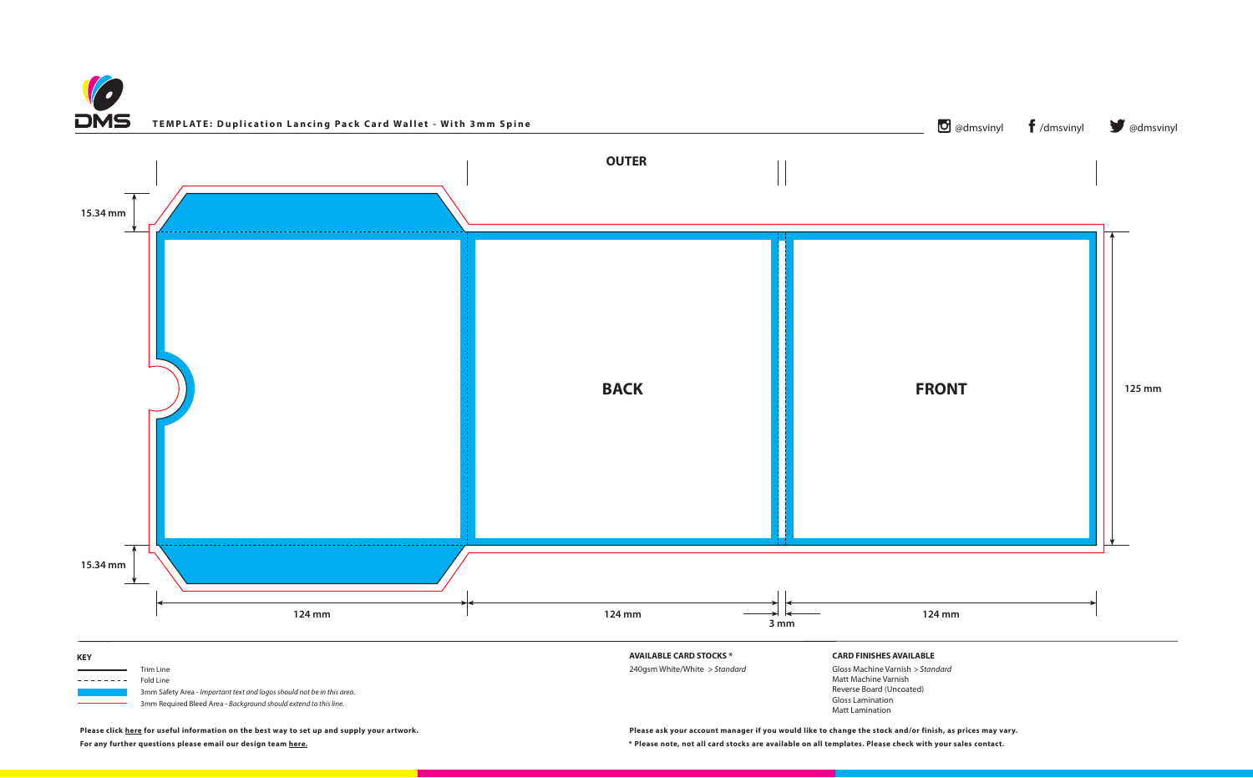**Please click [here](https://www.discmanufacturingservices.com/cd/templates#artwork-specifications) for useful information on the best way to set up and supply your artwork.**





**For any further questions please email our design team [here.](mailto:graphics%40discmanufacturingservices.com?subject=Template%20Enquiry) \* Please note, not all card stocks are available on all templates. Please check with your sales contact. Please ask your account manager if you would like to change the stock and/or finish, as prices may vary.**